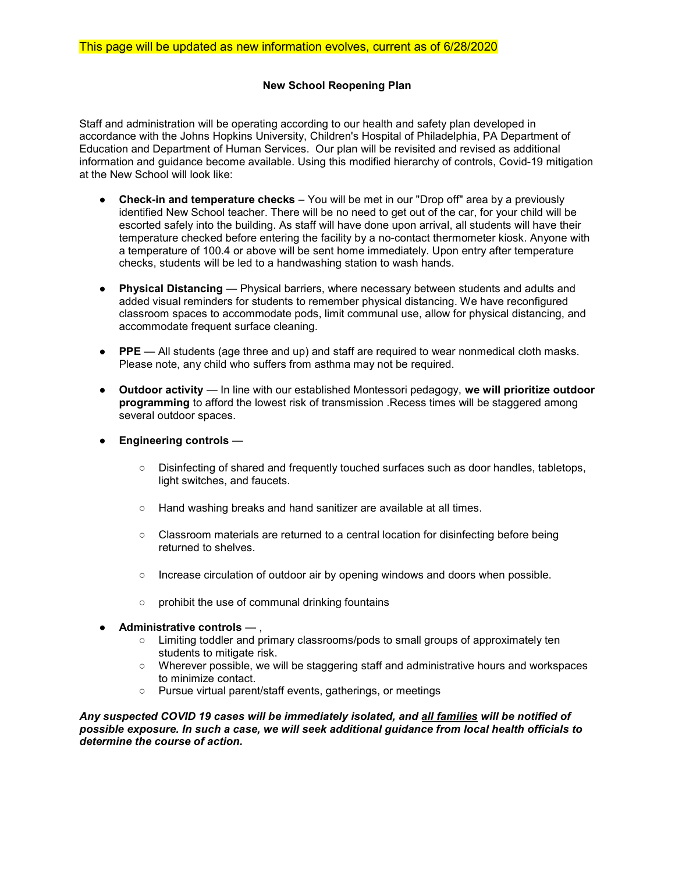# New School Reopening Plan

Staff and administration will be operating according to our health and safety plan developed in accordance with the Johns Hopkins University, Children's Hospital of Philadelphia, PA Department of Education and Department of Human Services. Our plan will be revisited and revised as additional information and guidance become available. Using this modified hierarchy of controls, Covid-19 mitigation at the New School will look like:

- Check-in and temperature checks You will be met in our "Drop off" area by a previously identified New School teacher. There will be no need to get out of the car, for your child will be escorted safely into the building. As staff will have done upon arrival, all students will have their temperature checked before entering the facility by a no-contact thermometer kiosk. Anyone with a temperature of 100.4 or above will be sent home immediately. Upon entry after temperature checks, students will be led to a handwashing station to wash hands.
- Physical Distancing Physical barriers, where necessary between students and adults and added visual reminders for students to remember physical distancing. We have reconfigured classroom spaces to accommodate pods, limit communal use, allow for physical distancing, and accommodate frequent surface cleaning.
- PPE All students (age three and up) and staff are required to wear nonmedical cloth masks. Please note, any child who suffers from asthma may not be required.
- Outdoor activity In line with our established Montessori pedagogy, we will prioritize outdoor programming to afford the lowest risk of transmission .Recess times will be staggered among several outdoor spaces.
- $\bullet$  Engineering controls  $-$ 
	- Disinfecting of shared and frequently touched surfaces such as door handles, tabletops, light switches, and faucets.
	- Hand washing breaks and hand sanitizer are available at all times.
	- Classroom materials are returned to a central location for disinfecting before being returned to shelves.
	- Increase circulation of outdoor air by opening windows and doors when possible.
	- prohibit the use of communal drinking fountains
- $\bullet$  Administrative controls  $-$  ,
	- Limiting toddler and primary classrooms/pods to small groups of approximately ten students to mitigate risk.
	- Wherever possible, we will be staggering staff and administrative hours and workspaces to minimize contact.
	- Pursue virtual parent/staff events, gatherings, or meetings

Any suspected COVID 19 cases will be immediately isolated, and all families will be notified of possible exposure. In such a case, we will seek additional guidance from local health officials to determine the course of action.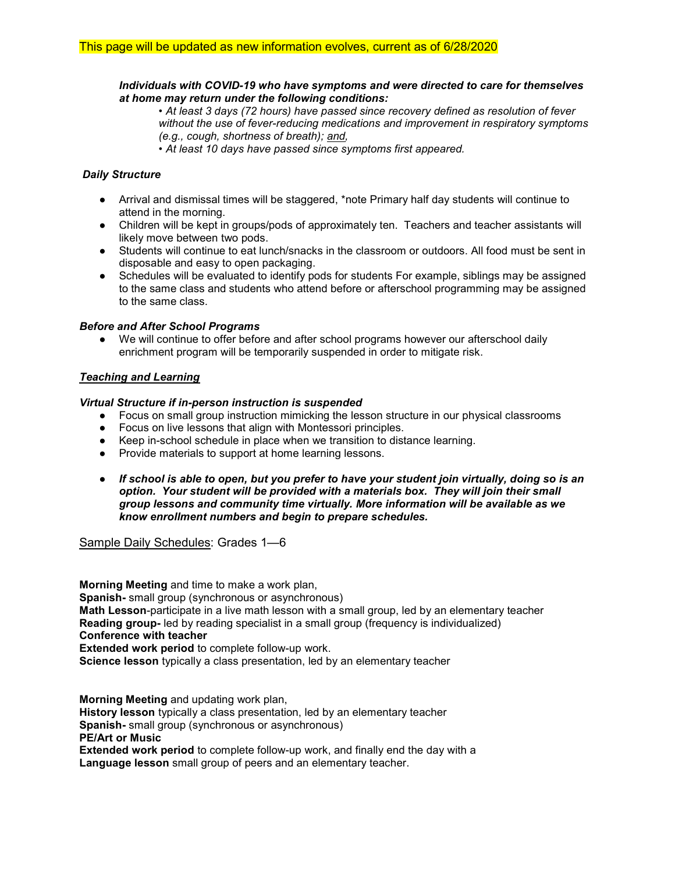### Individuals with COVID-19 who have symptoms and were directed to care for themselves at home may return under the following conditions:

• At least 3 days (72 hours) have passed since recovery defined as resolution of fever without the use of fever-reducing medications and improvement in respiratory symptoms (e.g., cough, shortness of breath); and,

• At least 10 days have passed since symptoms first appeared.

## Daily Structure

- Arrival and dismissal times will be staggered, \*note Primary half day students will continue to attend in the morning.
- Children will be kept in groups/pods of approximately ten. Teachers and teacher assistants will likely move between two pods.
- Students will continue to eat lunch/snacks in the classroom or outdoors. All food must be sent in disposable and easy to open packaging.
- Schedules will be evaluated to identify pods for students For example, siblings may be assigned to the same class and students who attend before or afterschool programming may be assigned to the same class.

#### Before and After School Programs

● We will continue to offer before and after school programs however our afterschool daily enrichment program will be temporarily suspended in order to mitigate risk.

## Teaching and Learning

## Virtual Structure if in-person instruction is suspended

- Focus on small group instruction mimicking the lesson structure in our physical classrooms
- Focus on live lessons that align with Montessori principles.
- Keep in-school schedule in place when we transition to distance learning.
- Provide materials to support at home learning lessons.
- If school is able to open, but you prefer to have your student join virtually, doing so is an option. Your student will be provided with a materials box. They will join their small group lessons and community time virtually. More information will be available as we know enrollment numbers and begin to prepare schedules.

Sample Daily Schedules: Grades 1—6

Morning Meeting and time to make a work plan, Spanish- small group (synchronous or asynchronous) Math Lesson-participate in a live math lesson with a small group, led by an elementary teacher Reading group- led by reading specialist in a small group (frequency is individualized) Conference with teacher Extended work period to complete follow-up work. Science lesson typically a class presentation, led by an elementary teacher

Morning Meeting and updating work plan, History lesson typically a class presentation, led by an elementary teacher Spanish- small group (synchronous or asynchronous) PE/Art or Music Extended work period to complete follow-up work, and finally end the day with a Language lesson small group of peers and an elementary teacher.